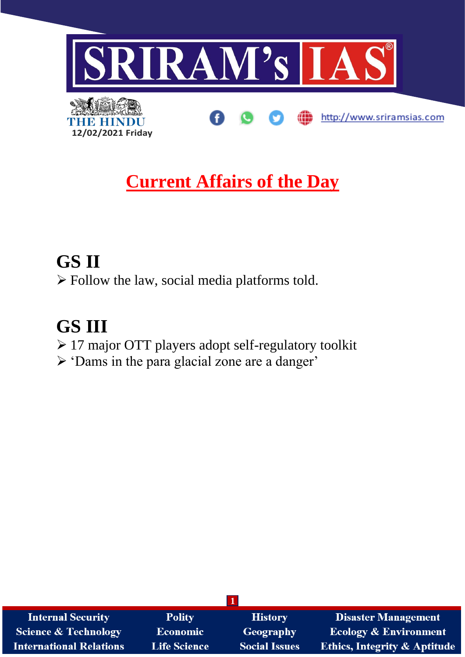

# **Current Affairs of the Day**

# **GS II** ➢ Follow the law, social media platforms told.

# **GS III**

- ➢ 17 major OTT players adopt self-regulatory toolkit
- ➢ 'Dams in the para glacial zone are a danger'

| <b>Internal Security</b>        | <b>Polity</b>       | <b>History</b>       | <b>Disaster Management</b>              |  |  |  |
|---------------------------------|---------------------|----------------------|-----------------------------------------|--|--|--|
| <b>Science &amp; Technology</b> | Economic            | <b>Geography</b>     | <b>Ecology &amp; Environment</b>        |  |  |  |
| <b>International Relations</b>  | <b>Life Science</b> | <b>Social Issues</b> | <b>Ethics, Integrity &amp; Aptitude</b> |  |  |  |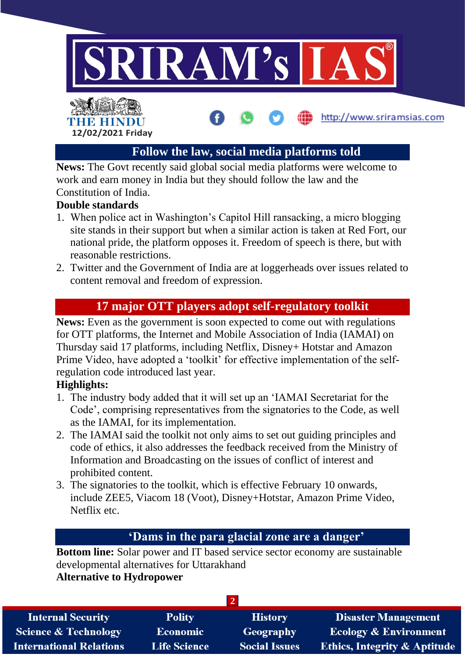

## **Follow the law, social media platforms told**

**News:** The Govt recently said global social media platforms were welcome to work and earn money in India but they should follow the law and the Constitution of India.

### **Double standards**

- 1. When police act in Washington's Capitol Hill ransacking, a micro blogging site stands in their support but when a similar action is taken at Red Fort, our national pride, the platform opposes it. Freedom of speech is there, but with reasonable restrictions.
- 2. Twitter and the Government of India are at loggerheads over issues related to content removal and freedom of expression.

## **17 major OTT players adopt self-regulatory toolkit**

**News:** Even as the government is soon expected to come out with regulations for OTT platforms, the Internet and Mobile Association of India (IAMAI) on Thursday said 17 platforms, including Netflix, Disney+ Hotstar and Amazon Prime Video, have adopted a 'toolkit' for effective implementation of the selfregulation code introduced last year.

### **Highlights:**

- 1. The industry body added that it will set up an 'IAMAI Secretariat for the Code', comprising representatives from the signatories to the Code, as well as the IAMAI, for its implementation.
- 2. The IAMAI said the toolkit not only aims to set out guiding principles and code of ethics, it also addresses the feedback received from the Ministry of Information and Broadcasting on the issues of conflict of interest and prohibited content.
- 3. The signatories to the toolkit, which is effective February 10 onwards, include ZEE5, Viacom 18 (Voot), Disney+Hotstar, Amazon Prime Video, Netflix etc.

## **'Dams in the para glacial zone are a danger'**

**Bottom line:** Solar power and IT based service sector economy are sustainable developmental alternatives for Uttarakhand

### **Alternative to Hydropower**

| <b>Internal Security</b>        | <b>Polity</b>       | <b>History</b>       | <b>Disaster Management</b>              |  |  |  |
|---------------------------------|---------------------|----------------------|-----------------------------------------|--|--|--|
| <b>Science &amp; Technology</b> | <b>Economic</b>     | <b>Geography</b>     | <b>Ecology &amp; Environment</b>        |  |  |  |
| <b>International Relations</b>  | <b>Life Science</b> | <b>Social Issues</b> | <b>Ethics, Integrity &amp; Aptitude</b> |  |  |  |